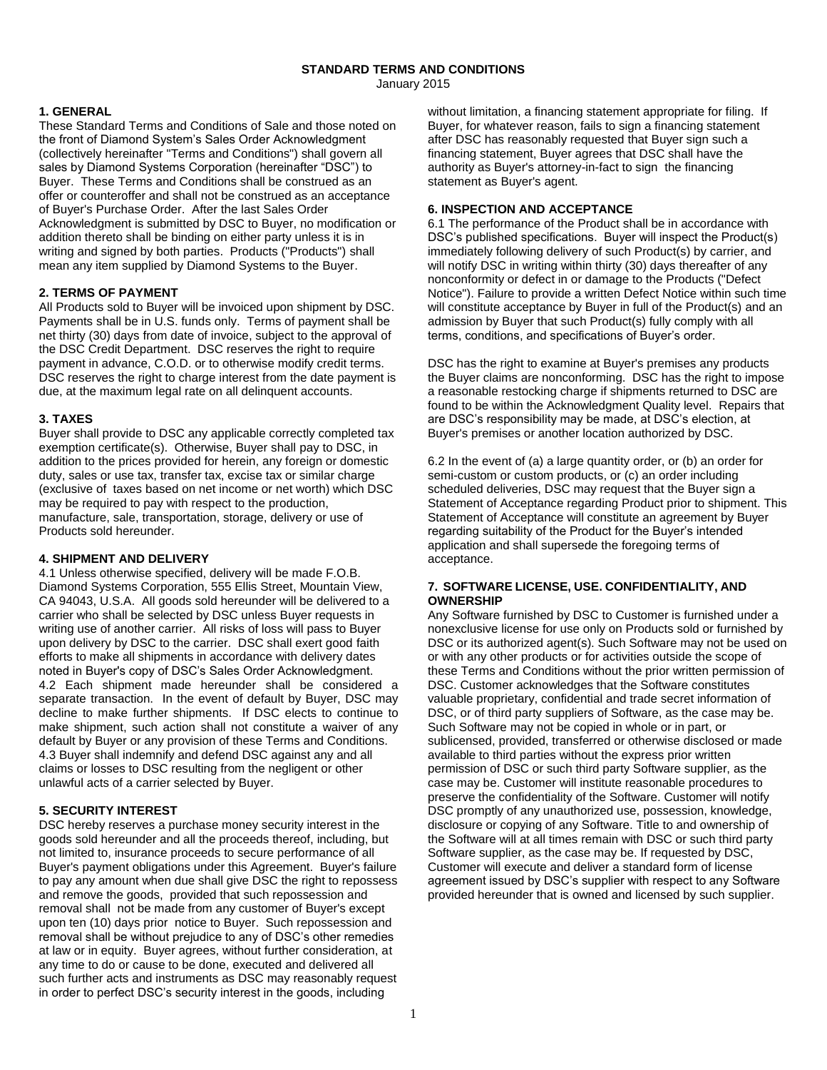#### **STANDARD TERMS AND CONDITIONS** January 2015

# **1. GENERAL**

These Standard Terms and Conditions of Sale and those noted on the front of Diamond System's Sales Order Acknowledgment (collectively hereinafter "Terms and Conditions") shall govern all sales by Diamond Systems Corporation (hereinafter "DSC") to Buyer. These Terms and Conditions shall be construed as an offer or counteroffer and shall not be construed as an acceptance of Buyer's Purchase Order. After the last Sales Order Acknowledgment is submitted by DSC to Buyer, no modification or addition thereto shall be binding on either party unless it is in writing and signed by both parties. Products ("Products") shall mean any item supplied by Diamond Systems to the Buyer.

#### **2. TERMS OF PAYMENT**

All Products sold to Buyer will be invoiced upon shipment by DSC. Payments shall be in U.S. funds only. Terms of payment shall be net thirty (30) days from date of invoice, subject to the approval of the DSC Credit Department. DSC reserves the right to require payment in advance, C.O.D. or to otherwise modify credit terms. DSC reserves the right to charge interest from the date payment is due, at the maximum legal rate on all delinquent accounts.

### **3. TAXES**

Buyer shall provide to DSC any applicable correctly completed tax exemption certificate(s). Otherwise, Buyer shall pay to DSC, in addition to the prices provided for herein, any foreign or domestic duty, sales or use tax, transfer tax, excise tax or similar charge (exclusive of taxes based on net income or net worth) which DSC may be required to pay with respect to the production, manufacture, sale, transportation, storage, delivery or use of Products sold hereunder.

# **4. SHIPMENT AND DELIVERY**

4.1 Unless otherwise specified, delivery will be made F.O.B. Diamond Systems Corporation, 555 Ellis Street, Mountain View, CA 94043, U.S.A. All goods sold hereunder will be delivered to a carrier who shall be selected by DSC unless Buyer requests in writing use of another carrier. All risks of loss will pass to Buyer upon delivery by DSC to the carrier. DSC shall exert good faith efforts to make all shipments in accordance with delivery dates noted in Buyer's copy of DSC's Sales Order Acknowledgment. 4.2 Each shipment made hereunder shall be considered a separate transaction. In the event of default by Buyer, DSC may decline to make further shipments. If DSC elects to continue to make shipment, such action shall not constitute a waiver of any default by Buyer or any provision of these Terms and Conditions. 4.3 Buyer shall indemnify and defend DSC against any and all claims or losses to DSC resulting from the negligent or other unlawful acts of a carrier selected by Buyer.

# **5. SECURITY INTEREST**

DSC hereby reserves a purchase money security interest in the goods sold hereunder and all the proceeds thereof, including, but not limited to, insurance proceeds to secure performance of all Buyer's payment obligations under this Agreement. Buyer's failure to pay any amount when due shall give DSC the right to repossess and remove the goods, provided that such repossession and removal shall not be made from any customer of Buyer's except upon ten (10) days prior notice to Buyer. Such repossession and removal shall be without prejudice to any of DSC's other remedies at law or in equity. Buyer agrees, without further consideration, at any time to do or cause to be done, executed and delivered all such further acts and instruments as DSC may reasonably request in order to perfect DSC's security interest in the goods, including

without limitation, a financing statement appropriate for filing. If Buyer, for whatever reason, fails to sign a financing statement after DSC has reasonably requested that Buyer sign such a financing statement, Buyer agrees that DSC shall have the authority as Buyer's attorney-in-fact to sign the financing statement as Buyer's agent.

### **6. INSPECTION AND ACCEPTANCE**

6.1 The performance of the Product shall be in accordance with DSC's published specifications. Buyer will inspect the Product(s) immediately following delivery of such Product(s) by carrier, and will notify DSC in writing within thirty (30) days thereafter of any nonconformity or defect in or damage to the Products ("Defect Notice"). Failure to provide a written Defect Notice within such time will constitute acceptance by Buyer in full of the Product(s) and an admission by Buyer that such Product(s) fully comply with all terms, conditions, and specifications of Buyer's order.

DSC has the right to examine at Buyer's premises any products the Buyer claims are nonconforming. DSC has the right to impose a reasonable restocking charge if shipments returned to DSC are found to be within the Acknowledgment Quality level. Repairs that are DSC's responsibility may be made, at DSC's election, at Buyer's premises or another location authorized by DSC.

6.2 In the event of (a) a large quantity order, or (b) an order for semi-custom or custom products, or (c) an order including scheduled deliveries, DSC may request that the Buyer sign a Statement of Acceptance regarding Product prior to shipment. This Statement of Acceptance will constitute an agreement by Buyer regarding suitability of the Product for the Buyer's intended application and shall supersede the foregoing terms of acceptance.

#### **7. SOFTWARE LICENSE, USE. CONFIDENTIALITY, AND OWNERSHIP**

Any Software furnished by DSC to Customer is furnished under a nonexclusive license for use only on Products sold or furnished by DSC or its authorized agent(s). Such Software may not be used on or with any other products or for activities outside the scope of these Terms and Conditions without the prior written permission of DSC. Customer acknowledges that the Software constitutes valuable proprietary, confidential and trade secret information of DSC, or of third party suppliers of Software, as the case may be. Such Software may not be copied in whole or in part, or sublicensed, provided, transferred or otherwise disclosed or made available to third parties without the express prior written permission of DSC or such third party Software supplier, as the case may be. Customer will institute reasonable procedures to preserve the confidentiality of the Software. Customer will notify DSC promptly of any unauthorized use, possession, knowledge, disclosure or copying of any Software. Title to and ownership of the Software will at all times remain with DSC or such third party Software supplier, as the case may be. If requested by DSC, Customer will execute and deliver a standard form of license agreement issued by DSC's supplier with respect to any Software provided hereunder that is owned and licensed by such supplier.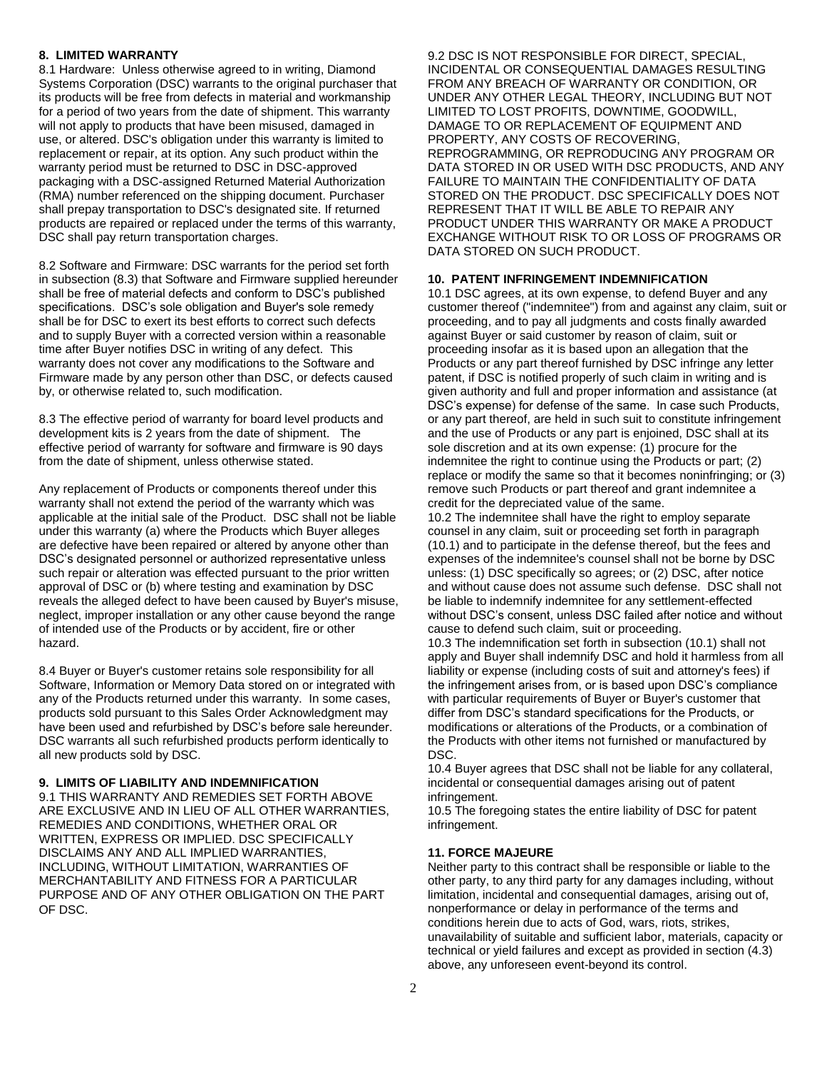### **8. LIMITED WARRANTY**

8.1 Hardware: Unless otherwise agreed to in writing, Diamond Systems Corporation (DSC) warrants to the original purchaser that its products will be free from defects in material and workmanship for a period of two years from the date of shipment. This warranty will not apply to products that have been misused, damaged in use, or altered. DSC's obligation under this warranty is limited to replacement or repair, at its option. Any such product within the warranty period must be returned to DSC in DSC-approved packaging with a DSC-assigned Returned Material Authorization (RMA) number referenced on the shipping document. Purchaser shall prepay transportation to DSC's designated site. If returned products are repaired or replaced under the terms of this warranty, DSC shall pay return transportation charges.

8.2 Software and Firmware: DSC warrants for the period set forth in subsection (8.3) that Software and Firmware supplied hereunder shall be free of material defects and conform to DSC's published specifications. DSC's sole obligation and Buyer's sole remedy shall be for DSC to exert its best efforts to correct such defects and to supply Buyer with a corrected version within a reasonable time after Buyer notifies DSC in writing of any defect. This warranty does not cover any modifications to the Software and Firmware made by any person other than DSC, or defects caused by, or otherwise related to, such modification.

8.3 The effective period of warranty for board level products and development kits is 2 years from the date of shipment. The effective period of warranty for software and firmware is 90 days from the date of shipment, unless otherwise stated.

Any replacement of Products or components thereof under this warranty shall not extend the period of the warranty which was applicable at the initial sale of the Product. DSC shall not be liable under this warranty (a) where the Products which Buyer alleges are defective have been repaired or altered by anyone other than DSC's designated personnel or authorized representative unless such repair or alteration was effected pursuant to the prior written approval of DSC or (b) where testing and examination by DSC reveals the alleged defect to have been caused by Buyer's misuse, neglect, improper installation or any other cause beyond the range of intended use of the Products or by accident, fire or other hazard.

8.4 Buyer or Buyer's customer retains sole responsibility for all Software, Information or Memory Data stored on or integrated with any of the Products returned under this warranty. In some cases, products sold pursuant to this Sales Order Acknowledgment may have been used and refurbished by DSC's before sale hereunder. DSC warrants all such refurbished products perform identically to all new products sold by DSC.

### **9. LIMITS OF LIABILITY AND INDEMNIFICATION**

9.1 THIS WARRANTY AND REMEDIES SET FORTH ABOVE ARE EXCLUSIVE AND IN LIEU OF ALL OTHER WARRANTIES, REMEDIES AND CONDITIONS, WHETHER ORAL OR WRITTEN, EXPRESS OR IMPLIED. DSC SPECIFICALLY DISCLAIMS ANY AND ALL IMPLIED WARRANTIES, INCLUDING, WITHOUT LIMITATION, WARRANTIES OF MERCHANTABILITY AND FITNESS FOR A PARTICULAR PURPOSE AND OF ANY OTHER OBLIGATION ON THE PART OF DSC.

9.2 DSC IS NOT RESPONSIBLE FOR DIRECT, SPECIAL, INCIDENTAL OR CONSEQUENTIAL DAMAGES RESULTING FROM ANY BREACH OF WARRANTY OR CONDITION, OR UNDER ANY OTHER LEGAL THEORY, INCLUDING BUT NOT LIMITED TO LOST PROFITS, DOWNTIME, GOODWILL, DAMAGE TO OR REPLACEMENT OF EQUIPMENT AND PROPERTY, ANY COSTS OF RECOVERING, REPROGRAMMING, OR REPRODUCING ANY PROGRAM OR DATA STORED IN OR USED WITH DSC PRODUCTS, AND ANY FAILURE TO MAINTAIN THE CONFIDENTIALITY OF DATA STORED ON THE PRODUCT. DSC SPECIFICALLY DOES NOT REPRESENT THAT IT WILL BE ABLE TO REPAIR ANY PRODUCT UNDER THIS WARRANTY OR MAKE A PRODUCT EXCHANGE WITHOUT RISK TO OR LOSS OF PROGRAMS OR DATA STORED ON SUCH PRODUCT.

#### **10. PATENT INFRINGEMENT INDEMNIFICATION**

10.1 DSC agrees, at its own expense, to defend Buyer and any customer thereof ("indemnitee") from and against any claim, suit or proceeding, and to pay all judgments and costs finally awarded against Buyer or said customer by reason of claim, suit or proceeding insofar as it is based upon an allegation that the Products or any part thereof furnished by DSC infringe any letter patent, if DSC is notified properly of such claim in writing and is given authority and full and proper information and assistance (at DSC's expense) for defense of the same. In case such Products, or any part thereof, are held in such suit to constitute infringement and the use of Products or any part is enjoined, DSC shall at its sole discretion and at its own expense: (1) procure for the indemnitee the right to continue using the Products or part; (2) replace or modify the same so that it becomes noninfringing; or (3) remove such Products or part thereof and grant indemnitee a credit for the depreciated value of the same.

10.2 The indemnitee shall have the right to employ separate counsel in any claim, suit or proceeding set forth in paragraph (10.1) and to participate in the defense thereof, but the fees and expenses of the indemnitee's counsel shall not be borne by DSC unless: (1) DSC specifically so agrees; or (2) DSC, after notice and without cause does not assume such defense. DSC shall not be liable to indemnify indemnitee for any settlement-effected without DSC's consent, unless DSC failed after notice and without cause to defend such claim, suit or proceeding.

10.3 The indemnification set forth in subsection (10.1) shall not apply and Buyer shall indemnify DSC and hold it harmless from all liability or expense (including costs of suit and attorney's fees) if the infringement arises from, or is based upon DSC's compliance with particular requirements of Buyer or Buyer's customer that differ from DSC's standard specifications for the Products, or modifications or alterations of the Products, or a combination of the Products with other items not furnished or manufactured by DSC.

10.4 Buyer agrees that DSC shall not be liable for any collateral, incidental or consequential damages arising out of patent infringement.

10.5 The foregoing states the entire liability of DSC for patent infringement.

#### **11. FORCE MAJEURE**

Neither party to this contract shall be responsible or liable to the other party, to any third party for any damages including, without limitation, incidental and consequential damages, arising out of, nonperformance or delay in performance of the terms and conditions herein due to acts of God, wars, riots, strikes, unavailability of suitable and sufficient labor, materials, capacity or technical or yield failures and except as provided in section (4.3) above, any unforeseen event-beyond its control.